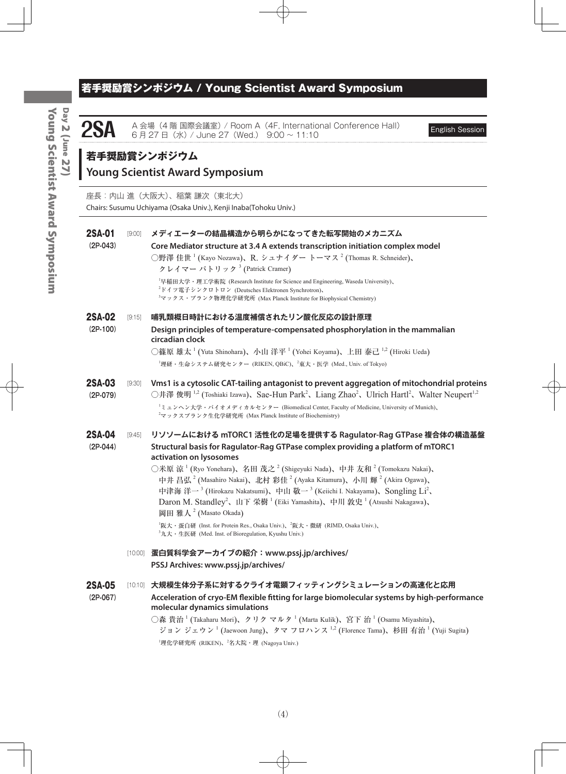## 若手奨励賞シンポジウム / Young Scientist Award Symposium

**2SA** A 会場 (4 階 国際会議室) / Room A (4F, International Conference Hall) English Session 6 月 27 日(水) / June 27 (Wed.) 9:00 ~ 11:10

# **若手奨励賞シンポジウム**

## **Young Scientist Award Symposium**

座長:内山 進(大阪大)、稲葉 謙次(東北大) Chairs: Susumu Uchiyama (Osaka Univ.), Kenji Inaba(Tohoku Univ.)

| <b>2SA-01</b> | [9:00] | メディエーターの結晶構造から明らかになってきた転写開始のメカニズム                                                                                                                                                                                                                |
|---------------|--------|--------------------------------------------------------------------------------------------------------------------------------------------------------------------------------------------------------------------------------------------------|
| $(2P-043)$    |        | Core Mediator structure at 3.4 A extends transcription initiation complex model                                                                                                                                                                  |
|               |        | ○野澤 佳世 <sup>1</sup> (Kayo Nozawa)、R. シュナイダー トーマス <sup>2</sup> (Thomas R. Schneider)、<br>クレイマー パトリック <sup>3</sup> (Patrick Cramer)                                                                                                                |
|               |        | <sup>1</sup> 早稲田大学·理工学術院 (Research Institute for Science and Engineering, Waseda University)、<br><sup>2</sup> ドイツ電子シンクロトロン (Deutsches Elektronen Synchrotron)、<br><sup>3</sup> マックス・プランク物理化学研究所 (Max Planck Institute for Biophysical Chemistry) |
| <b>2SA-02</b> | [9:15] | 哺乳類概日時計における温度補償されたリン酸化反応の設計原理                                                                                                                                                                                                                    |
| $(2P-100)$    |        | Design principles of temperature-compensated phosphorylation in the mammalian<br>circadian clock                                                                                                                                                 |
|               |        | ○篠原 雄太 <sup>1</sup> (Yuta Shinohara)、小山 洋平 <sup>1</sup> (Yohei Koyama)、上田 泰己 <sup>1,2</sup> (Hiroki Ueda)                                                                                                                                        |
|               |        | <sup>1</sup> 理研・生命システム研究センター (RIKEN, QBiC)、 <sup>2</sup> 東大・医学 (Med., Univ. of Tokyo)                                                                                                                                                            |
| 2SA-03        | [9:30] | Vms1 is a cytosolic CAT-tailing antagonist to prevent aggregation of mitochondrial proteins                                                                                                                                                      |
| $(2P-079)$    |        | ○井澤 俊明 <sup>1,2</sup> (Toshiaki Izawa)、Sae-Hun Park <sup>2</sup> 、Liang Zhao <sup>2</sup> 、Ulrich Hartl <sup>2</sup> 、Walter Neupert <sup>1,2</sup>                                                                                              |
|               |        | <sup>1</sup> ミュンヘン大学・バイオメディカルセンター (Biomedical Center, Faculty of Medicine, University of Munich)、<br><sup>2</sup> マックスプランク生化学研究所 (Max Planck Institute of Biochemistry)                                                                          |
| <b>2SA-04</b> | [9:45] | リソソームにおける mTORC1 活性化の足場を提供する Ragulator-Rag GTPase 複合体の構造基盤                                                                                                                                                                                       |
| $(2P-044)$    |        | Structural basis for Ragulator-Rag GTPase complex providing a platform of mTORC1                                                                                                                                                                 |
|               |        | activation on lysosomes<br>○米原 涼 <sup>1</sup> (Ryo Yonehara)、名田 茂之 <sup>2</sup> (Shigeyuki Nada)、中井 友和 <sup>2</sup> (Tomokazu Nakai)、                                                                                                            |
|               |        | 中井昌弘 <sup>2</sup> (Masahiro Nakai)、北村 彩佳 <sup>2</sup> (Ayaka Kitamura)、小川 輝 <sup>2</sup> (Akira Ogawa)、                                                                                                                                          |
|               |        | 中津海洋一 <sup>3</sup> (Hirokazu Nakatsumi)、中山 敬一 <sup>3</sup> (Keiichi I. Nakayama)、Songling Li <sup>2</sup> 、                                                                                                                                      |
|               |        | Daron M. Standley <sup>2</sup> 、山下 栄樹 <sup>1</sup> (Eiki Yamashita)、中川 敦史 <sup>1</sup> (Atsushi Nakagawa)、                                                                                                                                       |
|               |        | 岡田雅人 <sup>2</sup> (Masato Okada)                                                                                                                                                                                                                 |
|               |        | <sup>1</sup> 阪大・蛋白研 (Inst. for Protein Res., Osaka Univ.)、 <sup>2</sup> 阪大・微研 (RIMD, Osaka Univ.)、<br><sup>3</sup> 九大·生医研 (Med. Inst. of Bioregulation, Kyushu Univ.)                                                                            |
|               |        | [10:00] 蛋白質科学会アーカイブの紹介: www.pssj.jp/archives/                                                                                                                                                                                                    |
|               |        | PSSJ Archives: www.pssj.jp/archives/                                                                                                                                                                                                             |
|               |        |                                                                                                                                                                                                                                                  |
| <b>2SA-05</b> |        | [10:10] 大規模生体分子系に対するクライオ電顕フィッティングシミュレーションの高速化と応用                                                                                                                                                                                                 |
| $(2P-067)$    |        | Acceleration of cryo-EM flexible fitting for large biomolecular systems by high-performance                                                                                                                                                      |
|               |        | molecular dynamics simulations                                                                                                                                                                                                                   |
|               |        | ○森 貴治 <sup>1</sup> (Takaharu Mori)、クリク マルタ <sup>1</sup> (Marta Kulik)、宮下 治 <sup>1</sup> (Osamu Miyashita)、<br>ジョン ジェウン <sup>1</sup> (Jaewoon Jung)、タマ フロハンス <sup>1,2</sup> (Florence Tama)、杉田 有治 <sup>1</sup> (Yuji Sugita)                      |
|               |        | <sup>1</sup> 理化学研究所 (RIKEN)、 <sup>2</sup> 名大院·理 (Nagoya Univ.)                                                                                                                                                                                   |
|               |        |                                                                                                                                                                                                                                                  |